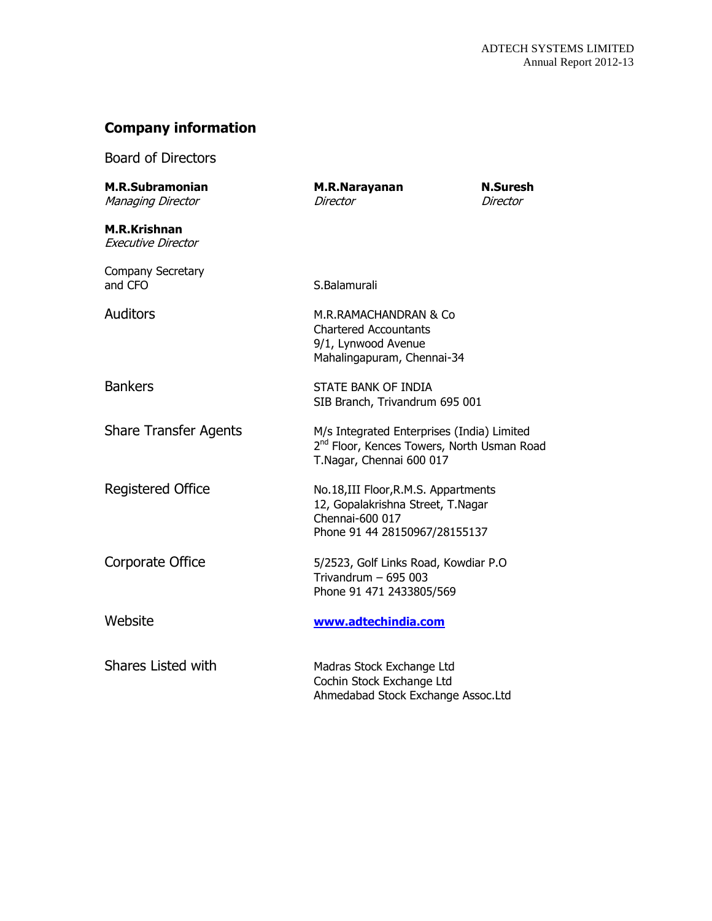# **Company information**

Board of Directors

| <b>M.R.Subramonian</b><br><b>Managing Director</b> | M.R.Narayanan<br>Director                                                                                                        | <b>N.Suresh</b><br>Director |
|----------------------------------------------------|----------------------------------------------------------------------------------------------------------------------------------|-----------------------------|
| <b>M.R.Krishnan</b><br><b>Executive Director</b>   |                                                                                                                                  |                             |
| Company Secretary<br>and CFO                       | S.Balamurali                                                                                                                     |                             |
| <b>Auditors</b>                                    | M.R.RAMACHANDRAN & Co<br><b>Chartered Accountants</b><br>9/1, Lynwood Avenue<br>Mahalingapuram, Chennai-34                       |                             |
| <b>Bankers</b>                                     | STATE BANK OF INDIA<br>SIB Branch, Trivandrum 695 001                                                                            |                             |
| <b>Share Transfer Agents</b>                       | M/s Integrated Enterprises (India) Limited<br>2 <sup>nd</sup> Floor, Kences Towers, North Usman Road<br>T.Nagar, Chennai 600 017 |                             |
| <b>Registered Office</b>                           | No.18, III Floor, R.M.S. Appartments<br>12, Gopalakrishna Street, T.Nagar<br>Chennai-600 017<br>Phone 91 44 28150967/28155137    |                             |
| Corporate Office                                   | 5/2523, Golf Links Road, Kowdiar P.O<br>Trivandrum $-695003$<br>Phone 91 471 2433805/569                                         |                             |
| Website                                            | www.adtechindia.com                                                                                                              |                             |
| <b>Shares Listed with</b>                          | Madras Stock Exchange Ltd<br>Cochin Stock Exchange Ltd<br>Ahmedabad Stock Exchange Assoc.Ltd                                     |                             |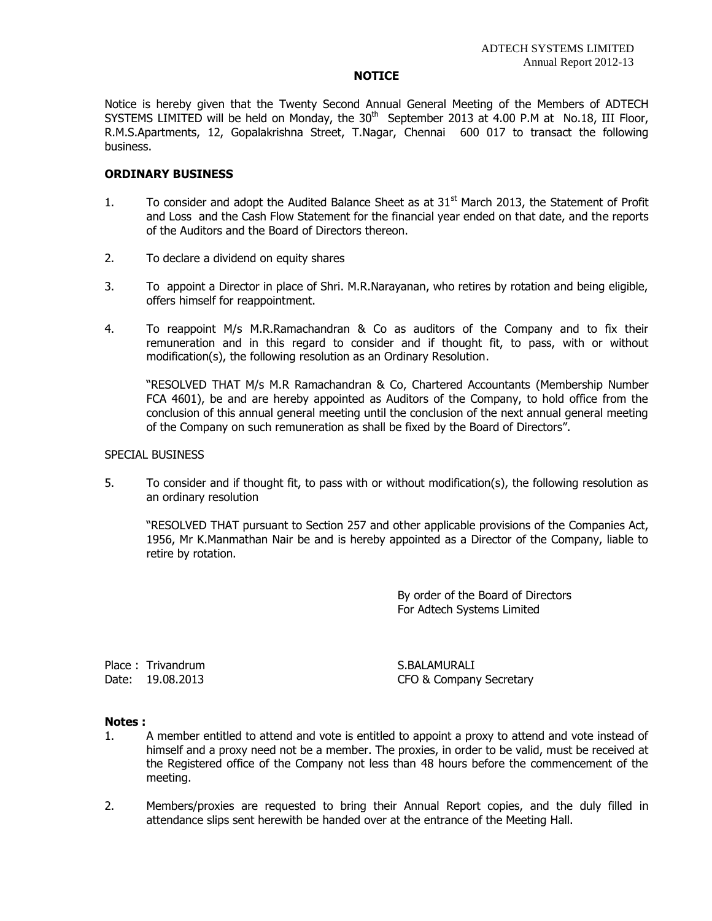### **NOTICE**

Notice is hereby given that the Twenty Second Annual General Meeting of the Members of ADTECH SYSTEMS LIMITED will be held on Monday, the  $30<sup>th</sup>$  September 2013 at 4.00 P.M at No.18, III Floor, R.M.S.Apartments, 12, Gopalakrishna Street, T.Nagar, Chennai 600 017 to transact the following business.

## **ORDINARY BUSINESS**

- 1. To consider and adopt the Audited Balance Sheet as at  $31<sup>st</sup>$  March 2013, the Statement of Profit and Loss and the Cash Flow Statement for the financial year ended on that date, and the reports of the Auditors and the Board of Directors thereon.
- 2. To declare a dividend on equity shares
- 3. To appoint a Director in place of Shri. M.R.Narayanan, who retires by rotation and being eligible, offers himself for reappointment.
- 4. To reappoint M/s M.R.Ramachandran & Co as auditors of the Company and to fix their remuneration and in this regard to consider and if thought fit, to pass, with or without modification(s), the following resolution as an Ordinary Resolution.

"RESOLVED THAT M/s M.R Ramachandran & Co, Chartered Accountants (Membership Number FCA 4601), be and are hereby appointed as Auditors of the Company, to hold office from the conclusion of this annual general meeting until the conclusion of the next annual general meeting of the Company on such remuneration as shall be fixed by the Board of Directors".

## SPECIAL BUSINESS

5. To consider and if thought fit, to pass with or without modification(s), the following resolution as an ordinary resolution

"RESOLVED THAT pursuant to Section 257 and other applicable provisions of the Companies Act, 1956, Mr K.Manmathan Nair be and is hereby appointed as a Director of the Company, liable to retire by rotation.

> By order of the Board of Directors For Adtech Systems Limited

Place : Trivandrum S.BALAMURALI

Date: 19.08.2013 CFO & Company Secretary

## **Notes :**

- 1. A member entitled to attend and vote is entitled to appoint a proxy to attend and vote instead of himself and a proxy need not be a member. The proxies, in order to be valid, must be received at the Registered office of the Company not less than 48 hours before the commencement of the meeting.
- 2. Members/proxies are requested to bring their Annual Report copies, and the duly filled in attendance slips sent herewith be handed over at the entrance of the Meeting Hall.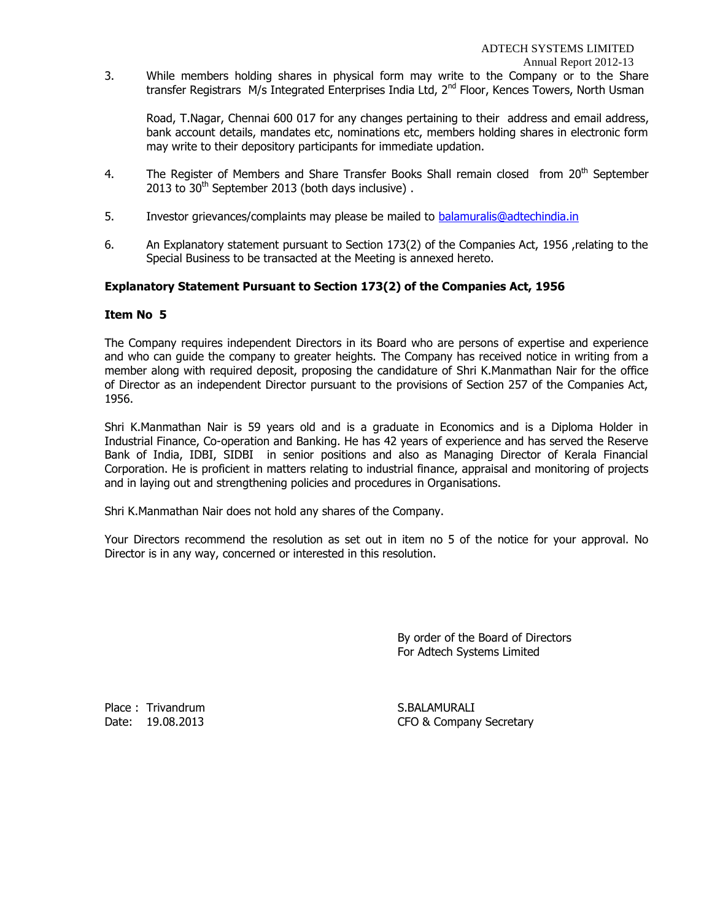3. While members holding shares in physical form may write to the Company or to the Share transfer Registrars M/s Integrated Enterprises India Ltd, 2<sup>nd</sup> Floor, Kences Towers, North Usman

Road, T.Nagar, Chennai 600 017 for any changes pertaining to their address and email address, bank account details, mandates etc, nominations etc, members holding shares in electronic form may write to their depository participants for immediate updation.

- 4. The Register of Members and Share Transfer Books Shall remain closed from 20<sup>th</sup> September 2013 to  $30<sup>th</sup>$  September 2013 (both days inclusive).
- 5. Investor grievances/complaints may please be mailed to [balamuralis@adtechindia.in](mailto:balamuralis@adtechindia.in)
- 6. An Explanatory statement pursuant to Section 173(2) of the Companies Act, 1956 ,relating to the Special Business to be transacted at the Meeting is annexed hereto.

## **Explanatory Statement Pursuant to Section 173(2) of the Companies Act, 1956**

## **Item No 5**

The Company requires independent Directors in its Board who are persons of expertise and experience and who can guide the company to greater heights. The Company has received notice in writing from a member along with required deposit, proposing the candidature of Shri K.Manmathan Nair for the office of Director as an independent Director pursuant to the provisions of Section 257 of the Companies Act, 1956.

Shri K.Manmathan Nair is 59 years old and is a graduate in Economics and is a Diploma Holder in Industrial Finance, Co-operation and Banking. He has 42 years of experience and has served the Reserve Bank of India, IDBI, SIDBI in senior positions and also as Managing Director of Kerala Financial Corporation. He is proficient in matters relating to industrial finance, appraisal and monitoring of projects and in laying out and strengthening policies and procedures in Organisations.

Shri K.Manmathan Nair does not hold any shares of the Company.

Your Directors recommend the resolution as set out in item no 5 of the notice for your approval. No Director is in any way, concerned or interested in this resolution.

> By order of the Board of Directors For Adtech Systems Limited

Place : Trivandrum S.BALAMURALI

Date: 19.08.2013 **Date:** 19.08.2013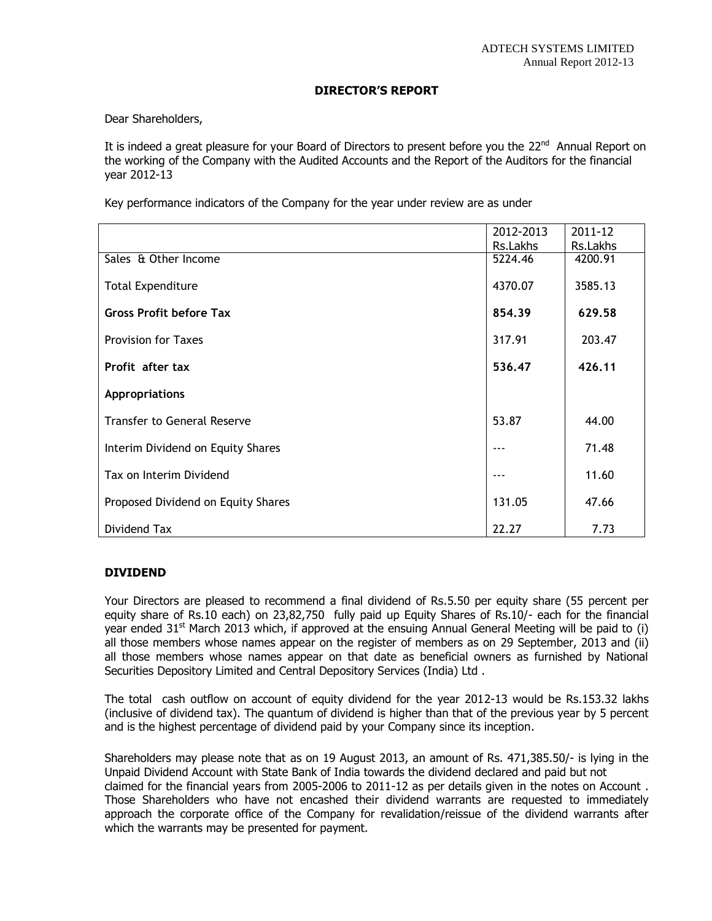## **DIRECTOR'S REPORT**

Dear Shareholders,

It is indeed a great pleasure for your Board of Directors to present before you the 22<sup>nd</sup> Annual Report on the working of the Company with the Audited Accounts and the Report of the Auditors for the financial year 2012-13

Key performance indicators of the Company for the year under review are as under

|                                    | 2012-2013 | 2011-12  |
|------------------------------------|-----------|----------|
|                                    | Rs.Lakhs  | Rs.Lakhs |
| Sales & Other Income               | 5224.46   | 4200.91  |
| <b>Total Expenditure</b>           | 4370.07   | 3585.13  |
| <b>Gross Profit before Tax</b>     | 854.39    | 629.58   |
| <b>Provision for Taxes</b>         | 317.91    | 203.47   |
| Profit after tax                   | 536.47    | 426.11   |
| <b>Appropriations</b>              |           |          |
| Transfer to General Reserve        | 53.87     | 44.00    |
| Interim Dividend on Equity Shares  |           | 71.48    |
| Tax on Interim Dividend            | ---       | 11.60    |
| Proposed Dividend on Equity Shares | 131.05    | 47.66    |
| Dividend Tax                       | 22.27     | 7.73     |

## **DIVIDEND**

Your Directors are pleased to recommend a final dividend of Rs.5.50 per equity share (55 percent per equity share of Rs.10 each) on 23,82,750 fully paid up Equity Shares of Rs.10/- each for the financial year ended 31<sup>st</sup> March 2013 which, if approved at the ensuing Annual General Meeting will be paid to (i) all those members whose names appear on the register of members as on 29 September, 2013 and (ii) all those members whose names appear on that date as beneficial owners as furnished by National Securities Depository Limited and Central Depository Services (India) Ltd .

The total cash outflow on account of equity dividend for the year 2012-13 would be Rs.153.32 lakhs (inclusive of dividend tax). The quantum of dividend is higher than that of the previous year by 5 percent and is the highest percentage of dividend paid by your Company since its inception.

Shareholders may please note that as on 19 August 2013, an amount of Rs. 471,385.50/- is lying in the Unpaid Dividend Account with State Bank of India towards the dividend declared and paid but not claimed for the financial years from 2005-2006 to 2011-12 as per details given in the notes on Account . Those Shareholders who have not encashed their dividend warrants are requested to immediately approach the corporate office of the Company for revalidation/reissue of the dividend warrants after which the warrants may be presented for payment.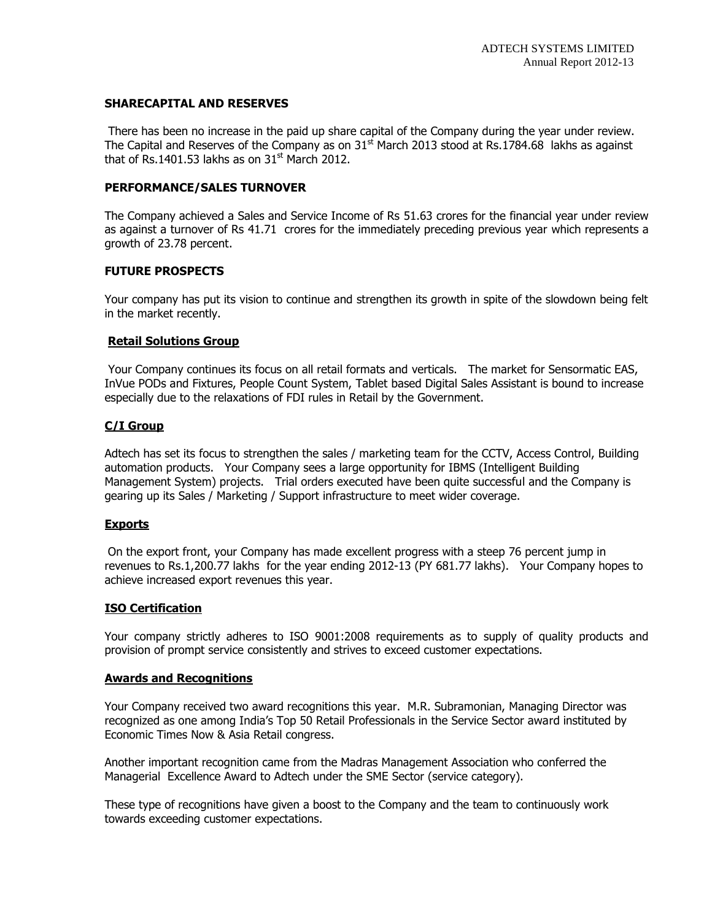## **SHARECAPITAL AND RESERVES**

There has been no increase in the paid up share capital of the Company during the year under review. The Capital and Reserves of the Company as on  $31<sup>st</sup>$  March 2013 stood at Rs.1784.68 lakhs as against that of Rs.1401.53 lakhs as on  $31<sup>st</sup>$  March 2012.

## **PERFORMANCE/SALES TURNOVER**

The Company achieved a Sales and Service Income of Rs 51.63 crores for the financial year under review as against a turnover of Rs 41.71 crores for the immediately preceding previous year which represents a growth of 23.78 percent.

## **FUTURE PROSPECTS**

Your company has put its vision to continue and strengthen its growth in spite of the slowdown being felt in the market recently.

## **Retail Solutions Group**

Your Company continues its focus on all retail formats and verticals. The market for Sensormatic EAS, InVue PODs and Fixtures, People Count System, Tablet based Digital Sales Assistant is bound to increase especially due to the relaxations of FDI rules in Retail by the Government.

## **C/I Group**

Adtech has set its focus to strengthen the sales / marketing team for the CCTV, Access Control, Building automation products. Your Company sees a large opportunity for IBMS (Intelligent Building Management System) projects. Trial orders executed have been quite successful and the Company is gearing up its Sales / Marketing / Support infrastructure to meet wider coverage.

## **Exports**

On the export front, your Company has made excellent progress with a steep 76 percent jump in revenues to Rs.1,200.77 lakhs for the year ending 2012-13 (PY 681.77 lakhs). Your Company hopes to achieve increased export revenues this year.

## **ISO Certification**

Your company strictly adheres to ISO 9001:2008 requirements as to supply of quality products and provision of prompt service consistently and strives to exceed customer expectations.

## **Awards and Recognitions**

Your Company received two award recognitions this year. M.R. Subramonian, Managing Director was recognized as one among India's Top 50 Retail Professionals in the Service Sector award instituted by Economic Times Now & Asia Retail congress.

Another important recognition came from the Madras Management Association who conferred the Managerial Excellence Award to Adtech under the SME Sector (service category).

These type of recognitions have given a boost to the Company and the team to continuously work towards exceeding customer expectations.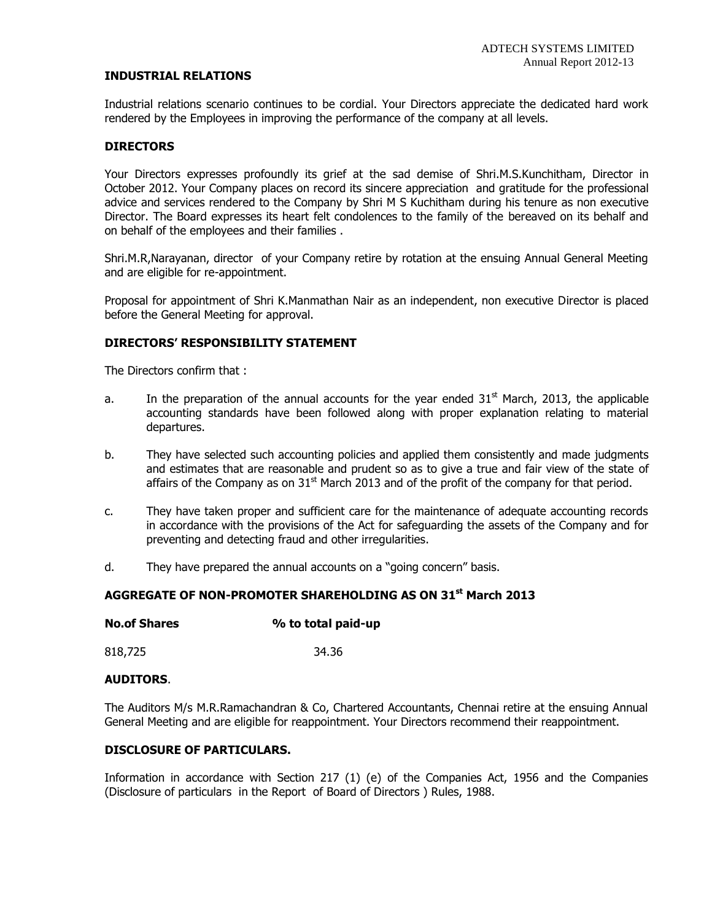## **INDUSTRIAL RELATIONS**

Industrial relations scenario continues to be cordial. Your Directors appreciate the dedicated hard work rendered by the Employees in improving the performance of the company at all levels.

## **DIRECTORS**

Your Directors expresses profoundly its grief at the sad demise of Shri.M.S.Kunchitham, Director in October 2012. Your Company places on record its sincere appreciation and gratitude for the professional advice and services rendered to the Company by Shri M S Kuchitham during his tenure as non executive Director. The Board expresses its heart felt condolences to the family of the bereaved on its behalf and on behalf of the employees and their families .

Shri.M.R,Narayanan, director of your Company retire by rotation at the ensuing Annual General Meeting and are eligible for re-appointment.

Proposal for appointment of Shri K.Manmathan Nair as an independent, non executive Director is placed before the General Meeting for approval.

## **DIRECTORS' RESPONSIBILITY STATEMENT**

The Directors confirm that :

- a. In the preparation of the annual accounts for the year ended  $31<sup>st</sup>$  March, 2013, the applicable accounting standards have been followed along with proper explanation relating to material departures.
- b. They have selected such accounting policies and applied them consistently and made judgments and estimates that are reasonable and prudent so as to give a true and fair view of the state of affairs of the Company as on  $31<sup>st</sup>$  March 2013 and of the profit of the company for that period.
- c. They have taken proper and sufficient care for the maintenance of adequate accounting records in accordance with the provisions of the Act for safeguarding the assets of the Company and for preventing and detecting fraud and other irregularities.
- d. They have prepared the annual accounts on a "going concern" basis.

## **AGGREGATE OF NON-PROMOTER SHAREHOLDING AS ON 31 st March 2013**

| <b>No.of Shares</b> | % to total paid-up |
|---------------------|--------------------|
|                     |                    |

818,725 34.36

### **AUDITORS**.

The Auditors M/s M.R.Ramachandran & Co, Chartered Accountants, Chennai retire at the ensuing Annual General Meeting and are eligible for reappointment. Your Directors recommend their reappointment.

### **DISCLOSURE OF PARTICULARS.**

Information in accordance with Section 217 (1) (e) of the Companies Act, 1956 and the Companies (Disclosure of particulars in the Report of Board of Directors ) Rules, 1988.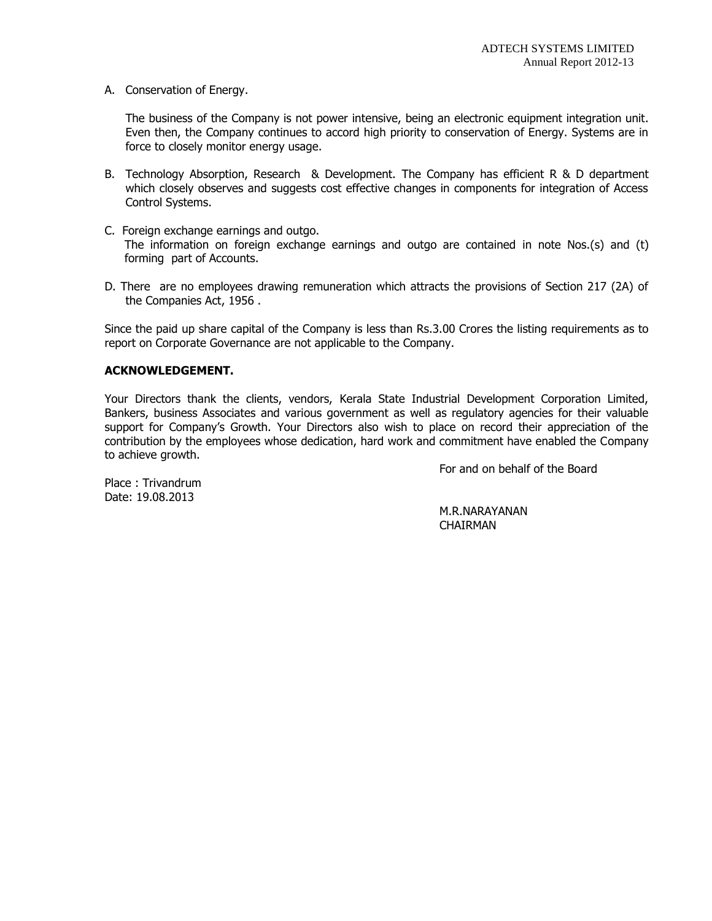A. Conservation of Energy.

The business of the Company is not power intensive, being an electronic equipment integration unit. Even then, the Company continues to accord high priority to conservation of Energy. Systems are in force to closely monitor energy usage.

- B. Technology Absorption, Research & Development. The Company has efficient R & D department which closely observes and suggests cost effective changes in components for integration of Access Control Systems.
- C. Foreign exchange earnings and outgo. The information on foreign exchange earnings and outgo are contained in note Nos.(s) and (t) forming part of Accounts.
- D. There are no employees drawing remuneration which attracts the provisions of Section 217 (2A) of the Companies Act, 1956 .

Since the paid up share capital of the Company is less than Rs.3.00 Crores the listing requirements as to report on Corporate Governance are not applicable to the Company.

## **ACKNOWLEDGEMENT.**

Your Directors thank the clients, vendors, Kerala State Industrial Development Corporation Limited, Bankers, business Associates and various government as well as regulatory agencies for their valuable support for Company's Growth. Your Directors also wish to place on record their appreciation of the contribution by the employees whose dedication, hard work and commitment have enabled the Company to achieve growth.

For and on behalf of the Board

Place : Trivandrum Date: 19.08.2013

M.R.NARAYANAN CHAIRMAN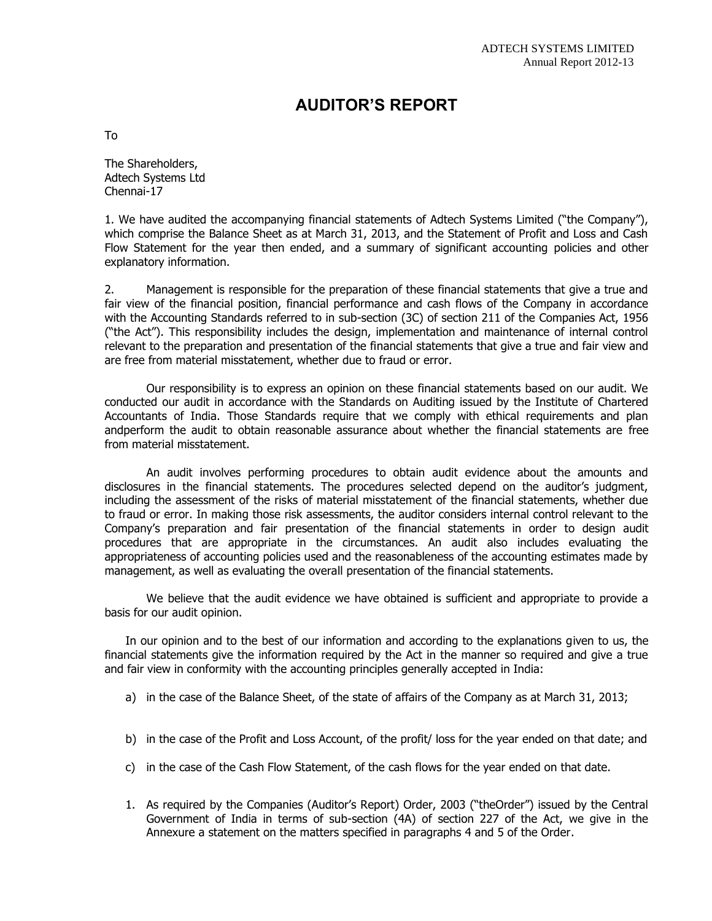## **AUDITOR'S REPORT**

To

The Shareholders, Adtech Systems Ltd Chennai-17

1. We have audited the accompanying financial statements of Adtech Systems Limited ("the Company"), which comprise the Balance Sheet as at March 31, 2013, and the Statement of Profit and Loss and Cash Flow Statement for the year then ended, and a summary of significant accounting policies and other explanatory information.

2. Management is responsible for the preparation of these financial statements that give a true and fair view of the financial position, financial performance and cash flows of the Company in accordance with the Accounting Standards referred to in sub-section (3C) of section 211 of the Companies Act, 1956 ("the Act"). This responsibility includes the design, implementation and maintenance of internal control relevant to the preparation and presentation of the financial statements that give a true and fair view and are free from material misstatement, whether due to fraud or error.

Our responsibility is to express an opinion on these financial statements based on our audit. We conducted our audit in accordance with the Standards on Auditing issued by the Institute of Chartered Accountants of India. Those Standards require that we comply with ethical requirements and plan andperform the audit to obtain reasonable assurance about whether the financial statements are free from material misstatement.

An audit involves performing procedures to obtain audit evidence about the amounts and disclosures in the financial statements. The procedures selected depend on the auditor's judgment, including the assessment of the risks of material misstatement of the financial statements, whether due to fraud or error. In making those risk assessments, the auditor considers internal control relevant to the Company's preparation and fair presentation of the financial statements in order to design audit procedures that are appropriate in the circumstances. An audit also includes evaluating the appropriateness of accounting policies used and the reasonableness of the accounting estimates made by management, as well as evaluating the overall presentation of the financial statements.

We believe that the audit evidence we have obtained is sufficient and appropriate to provide a basis for our audit opinion.

In our opinion and to the best of our information and according to the explanations given to us, the financial statements give the information required by the Act in the manner so required and give a true and fair view in conformity with the accounting principles generally accepted in India:

- a) in the case of the Balance Sheet, of the state of affairs of the Company as at March 31, 2013;
- b) in the case of the Profit and Loss Account, of the profit/ loss for the year ended on that date; and
- c) in the case of the Cash Flow Statement, of the cash flows for the year ended on that date.
- 1. As required by the Companies (Auditor's Report) Order, 2003 ("theOrder") issued by the Central Government of India in terms of sub-section (4A) of section 227 of the Act, we give in the Annexure a statement on the matters specified in paragraphs 4 and 5 of the Order.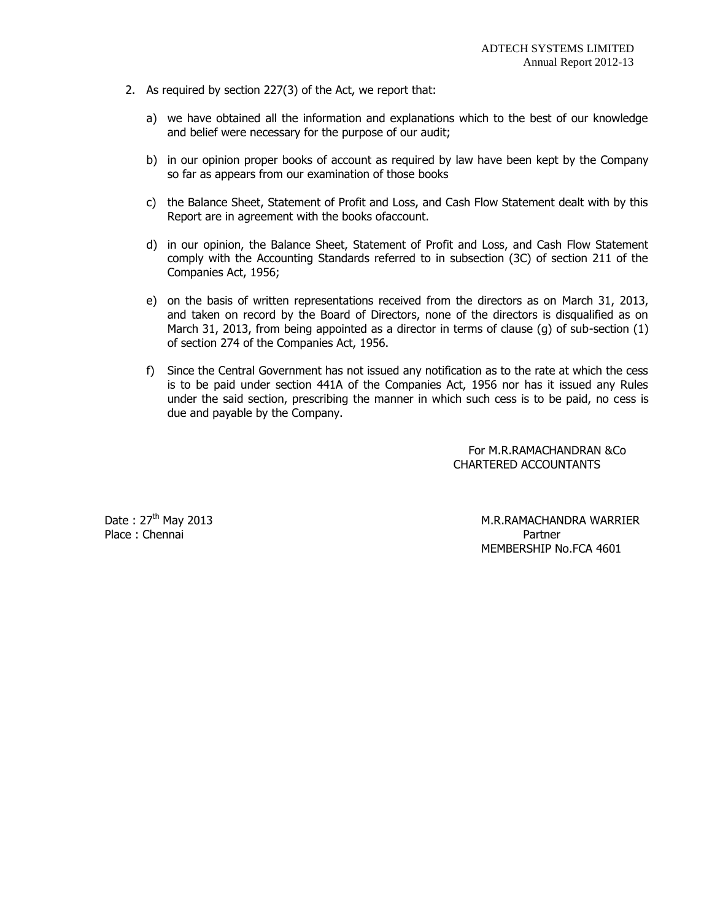- 2. As required by section 227(3) of the Act, we report that:
	- a) we have obtained all the information and explanations which to the best of our knowledge and belief were necessary for the purpose of our audit;
	- b) in our opinion proper books of account as required by law have been kept by the Company so far as appears from our examination of those books
	- c) the Balance Sheet, Statement of Profit and Loss, and Cash Flow Statement dealt with by this Report are in agreement with the books ofaccount.
	- d) in our opinion, the Balance Sheet, Statement of Profit and Loss, and Cash Flow Statement comply with the Accounting Standards referred to in subsection (3C) of section 211 of the Companies Act, 1956;
	- e) on the basis of written representations received from the directors as on March 31, 2013, and taken on record by the Board of Directors, none of the directors is disqualified as on March 31, 2013, from being appointed as a director in terms of clause (g) of sub-section (1) of section 274 of the Companies Act, 1956.
	- f) Since the Central Government has not issued any notification as to the rate at which the cess is to be paid under section 441A of the Companies Act, 1956 nor has it issued any Rules under the said section, prescribing the manner in which such cess is to be paid, no cess is due and payable by the Company.

 For M.R.RAMACHANDRAN &Co CHARTERED ACCOUNTANTS

Place : Chennai Partner Partner Partner Partner Partner Partner Partner Partner Partner

Date : 27<sup>th</sup> May 2013 M.R.RAMACHANDRA WARRIER MEMBERSHIP No.FCA 4601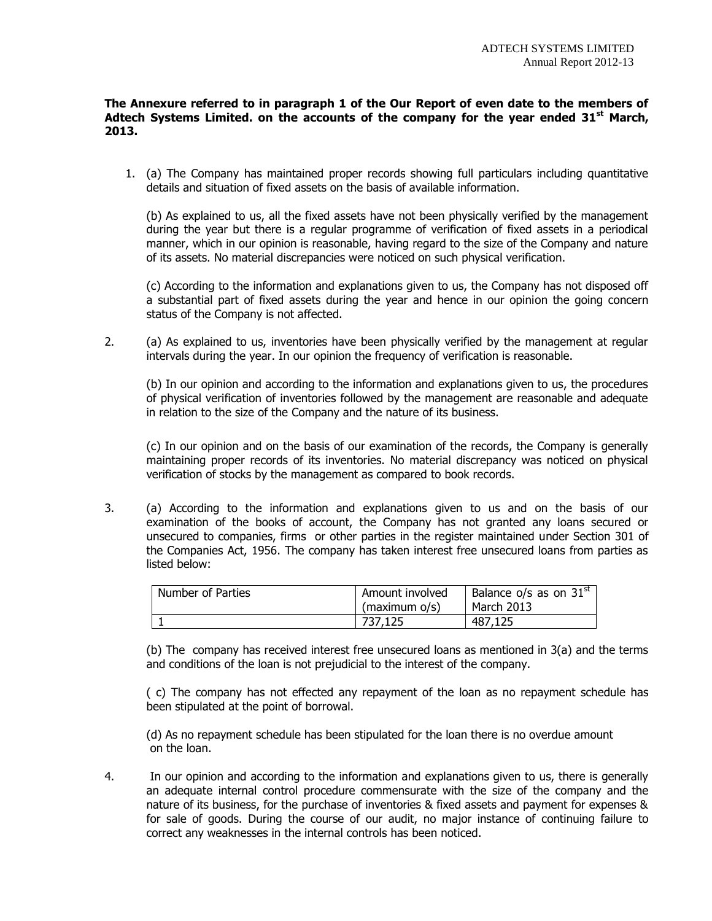**The Annexure referred to in paragraph 1 of the Our Report of even date to the members of Adtech Systems Limited. on the accounts of the company for the year ended 31st March, 2013.**

1. (a) The Company has maintained proper records showing full particulars including quantitative details and situation of fixed assets on the basis of available information.

(b) As explained to us, all the fixed assets have not been physically verified by the management during the year but there is a regular programme of verification of fixed assets in a periodical manner, which in our opinion is reasonable, having regard to the size of the Company and nature of its assets. No material discrepancies were noticed on such physical verification.

(c) According to the information and explanations given to us, the Company has not disposed off a substantial part of fixed assets during the year and hence in our opinion the going concern status of the Company is not affected.

2. (a) As explained to us, inventories have been physically verified by the management at regular intervals during the year. In our opinion the frequency of verification is reasonable.

(b) In our opinion and according to the information and explanations given to us, the procedures of physical verification of inventories followed by the management are reasonable and adequate in relation to the size of the Company and the nature of its business.

(c) In our opinion and on the basis of our examination of the records, the Company is generally maintaining proper records of its inventories. No material discrepancy was noticed on physical verification of stocks by the management as compared to book records.

3. (a) According to the information and explanations given to us and on the basis of our examination of the books of account, the Company has not granted any loans secured or unsecured to companies, firms or other parties in the register maintained under Section 301 of the Companies Act, 1956. The company has taken interest free unsecured loans from parties as listed below:

| Number of Parties | Amount involved<br>(maximum o/s) | $\overline{ }$ Balance o/s as on 31 <sup>st</sup><br>March 2013 |
|-------------------|----------------------------------|-----------------------------------------------------------------|
|                   | 737,125                          | 487,125                                                         |

(b) The company has received interest free unsecured loans as mentioned in 3(a) and the terms and conditions of the loan is not prejudicial to the interest of the company.

( c) The company has not effected any repayment of the loan as no repayment schedule has been stipulated at the point of borrowal.

(d) As no repayment schedule has been stipulated for the loan there is no overdue amount on the loan.

4. In our opinion and according to the information and explanations given to us, there is generally an adequate internal control procedure commensurate with the size of the company and the nature of its business, for the purchase of inventories & fixed assets and payment for expenses & for sale of goods. During the course of our audit, no major instance of continuing failure to correct any weaknesses in the internal controls has been noticed.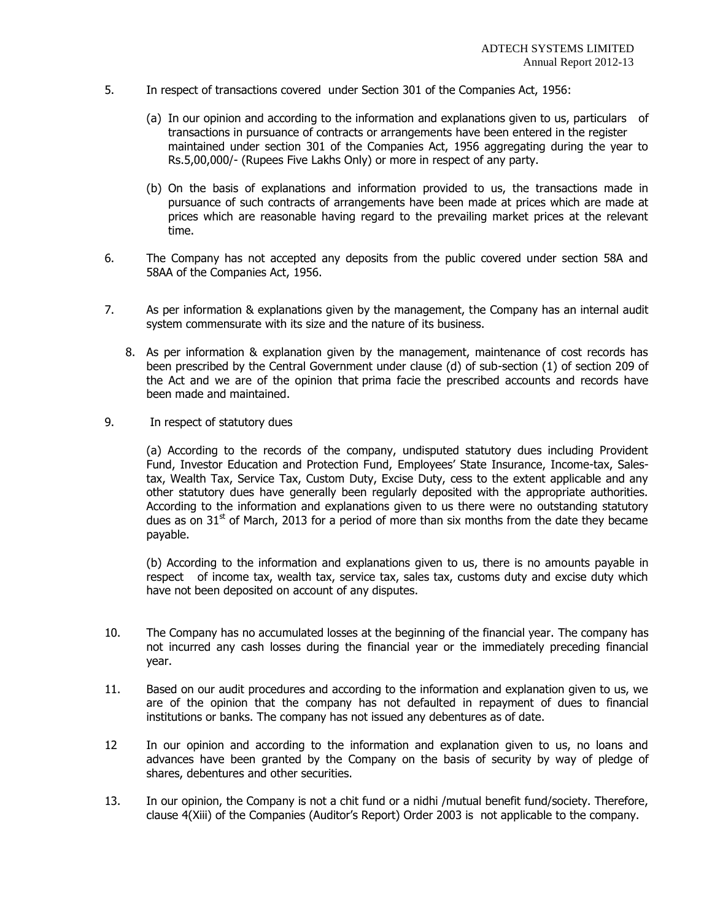- 5. In respect of transactions covered under Section 301 of the Companies Act, 1956:
	- (a) In our opinion and according to the information and explanations given to us, particulars of transactions in pursuance of contracts or arrangements have been entered in the register maintained under section 301 of the Companies Act, 1956 aggregating during the year to Rs.5,00,000/- (Rupees Five Lakhs Only) or more in respect of any party.
	- (b) On the basis of explanations and information provided to us, the transactions made in pursuance of such contracts of arrangements have been made at prices which are made at prices which are reasonable having regard to the prevailing market prices at the relevant time.
- 6. The Company has not accepted any deposits from the public covered under section 58A and 58AA of the Companies Act, 1956.
- 7. As per information & explanations given by the management, the Company has an internal audit system commensurate with its size and the nature of its business.
	- 8. As per information & explanation given by the management, maintenance of cost records has been prescribed by the Central Government under clause (d) of sub-section (1) of section 209 of the Act and we are of the opinion that prima facie the prescribed accounts and records have been made and maintained.
- 9. In respect of statutory dues

(a) According to the records of the company, undisputed statutory dues including Provident Fund, Investor Education and Protection Fund, Employees' State Insurance, Income-tax, Salestax, Wealth Tax, Service Tax, Custom Duty, Excise Duty, cess to the extent applicable and any other statutory dues have generally been regularly deposited with the appropriate authorities. According to the information and explanations given to us there were no outstanding statutory dues as on  $31<sup>st</sup>$  of March, 2013 for a period of more than six months from the date they became payable.

(b) According to the information and explanations given to us, there is no amounts payable in respect of income tax, wealth tax, service tax, sales tax, customs duty and excise duty which have not been deposited on account of any disputes.

- 10. The Company has no accumulated losses at the beginning of the financial year. The company has not incurred any cash losses during the financial year or the immediately preceding financial year.
- 11. Based on our audit procedures and according to the information and explanation given to us, we are of the opinion that the company has not defaulted in repayment of dues to financial institutions or banks. The company has not issued any debentures as of date.
- 12 In our opinion and according to the information and explanation given to us, no loans and advances have been granted by the Company on the basis of security by way of pledge of shares, debentures and other securities.
- 13. In our opinion, the Company is not a chit fund or a nidhi /mutual benefit fund/society. Therefore, clause 4(Xiii) of the Companies (Auditor's Report) Order 2003 is not applicable to the company.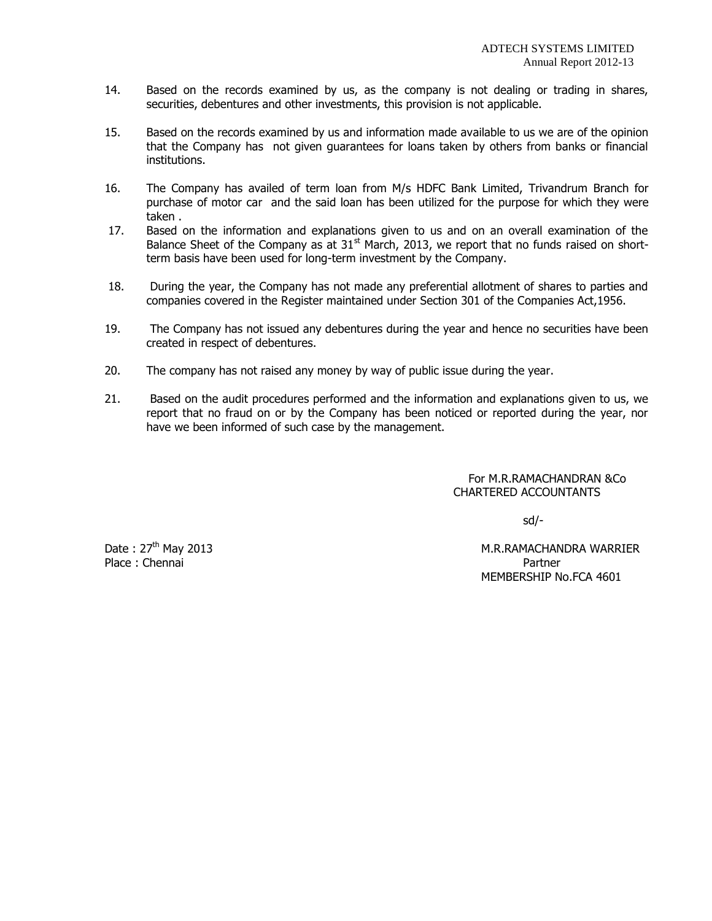- 14. Based on the records examined by us, as the company is not dealing or trading in shares, securities, debentures and other investments, this provision is not applicable.
- 15. Based on the records examined by us and information made available to us we are of the opinion that the Company has not given guarantees for loans taken by others from banks or financial institutions.
- 16. The Company has availed of term loan from M/s HDFC Bank Limited, Trivandrum Branch for purchase of motor car and the said loan has been utilized for the purpose for which they were taken .
- 17. Based on the information and explanations given to us and on an overall examination of the Balance Sheet of the Company as at  $31<sup>st</sup>$  March, 2013, we report that no funds raised on shortterm basis have been used for long-term investment by the Company.
- 18. During the year, the Company has not made any preferential allotment of shares to parties and companies covered in the Register maintained under Section 301 of the Companies Act,1956.
- 19. The Company has not issued any debentures during the year and hence no securities have been created in respect of debentures.
- 20. The company has not raised any money by way of public issue during the year.
- 21. Based on the audit procedures performed and the information and explanations given to us, we report that no fraud on or by the Company has been noticed or reported during the year, nor have we been informed of such case by the management.

 For M.R.RAMACHANDRAN &Co CHARTERED ACCOUNTANTS

sd/-

Place : Chennai Partner Partner Partner Partner Partner Partner Partner Partner Partner

Date : 27<sup>th</sup> May 2013 M.R.RAMACHANDRA WARRIER MEMBERSHIP No.FCA 4601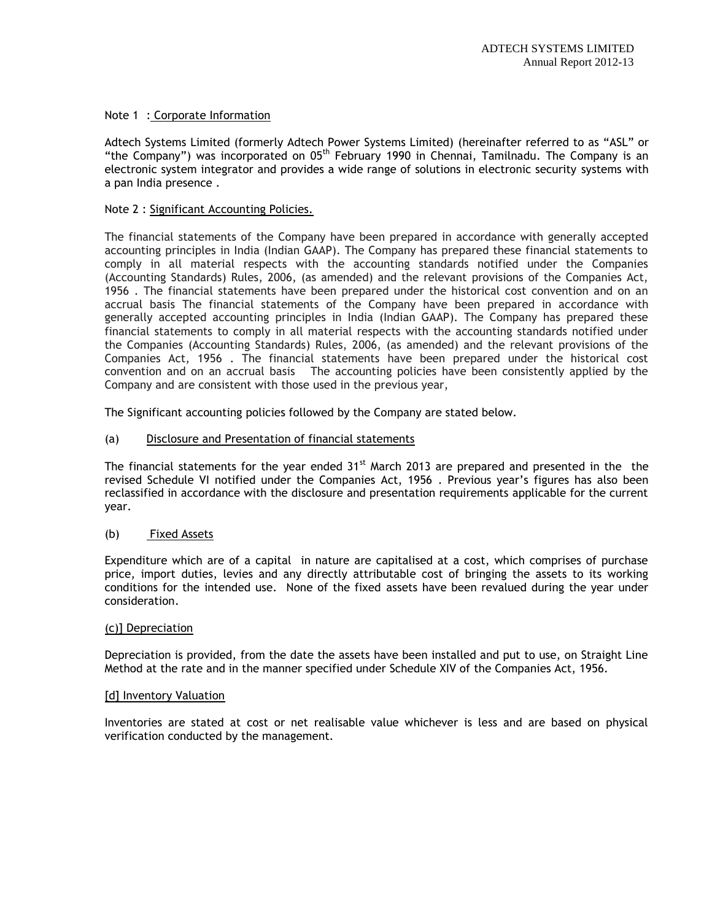## Note 1 : Corporate Information

Adtech Systems Limited (formerly Adtech Power Systems Limited) (hereinafter referred to as "ASL" or "the Company") was incorporated on 05<sup>th</sup> February 1990 in Chennai, Tamilnadu. The Company is an electronic system integrator and provides a wide range of solutions in electronic security systems with a pan India presence .

### Note 2 : Significant Accounting Policies.

The financial statements of the Company have been prepared in accordance with generally accepted accounting principles in India (Indian GAAP). The Company has prepared these financial statements to comply in all material respects with the accounting standards notified under the Companies (Accounting Standards) Rules, 2006, (as amended) and the relevant provisions of the Companies Act, 1956 . The financial statements have been prepared under the historical cost convention and on an accrual basis The financial statements of the Company have been prepared in accordance with generally accepted accounting principles in India (Indian GAAP). The Company has prepared these financial statements to comply in all material respects with the accounting standards notified under the Companies (Accounting Standards) Rules, 2006, (as amended) and the relevant provisions of the Companies Act, 1956 . The financial statements have been prepared under the historical cost convention and on an accrual basis The accounting policies have been consistently applied by the Company and are consistent with those used in the previous year,

The Significant accounting policies followed by the Company are stated below.

(a) Disclosure and Presentation of financial statements

The financial statements for the year ended 31<sup>st</sup> March 2013 are prepared and presented in the the revised Schedule VI notified under the Companies Act, 1956 . Previous year's figures has also been reclassified in accordance with the disclosure and presentation requirements applicable for the current year.

### (b) Fixed Assets

Expenditure which are of a capital in nature are capitalised at a cost, which comprises of purchase price, import duties, levies and any directly attributable cost of bringing the assets to its working conditions for the intended use. None of the fixed assets have been revalued during the year under consideration.

### (c)] Depreciation

Depreciation is provided, from the date the assets have been installed and put to use, on Straight Line Method at the rate and in the manner specified under Schedule XIV of the Companies Act, 1956.

### [d] Inventory Valuation

Inventories are stated at cost or net realisable value whichever is less and are based on physical verification conducted by the management.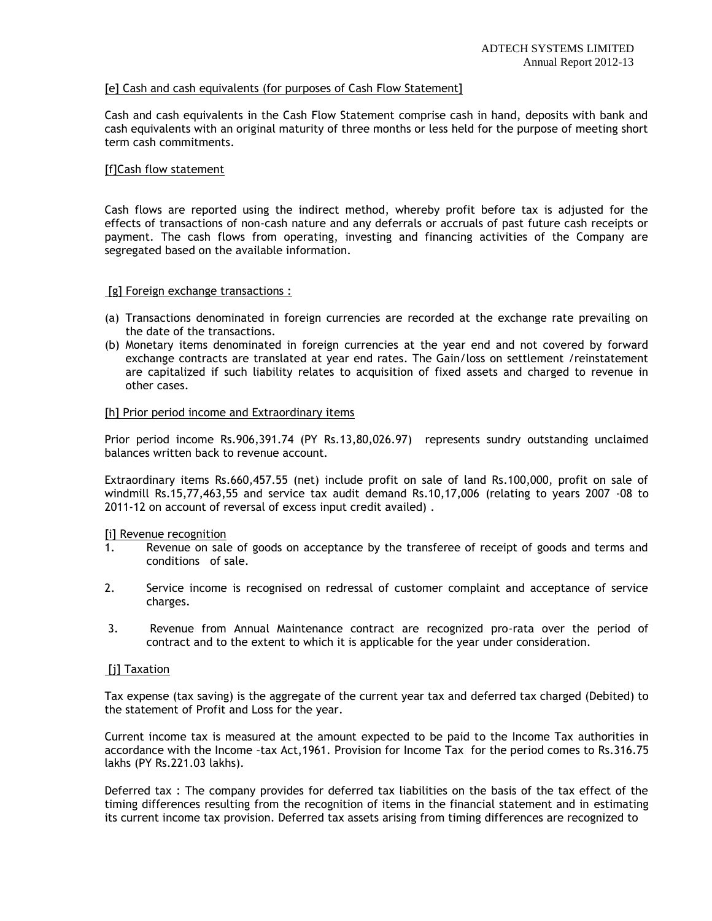### [e] Cash and cash equivalents (for purposes of Cash Flow Statement]

Cash and cash equivalents in the Cash Flow Statement comprise cash in hand, deposits with bank and cash equivalents with an original maturity of three months or less held for the purpose of meeting short term cash commitments.

### [f]Cash flow statement

Cash flows are reported using the indirect method, whereby profit before tax is adjusted for the effects of transactions of non-cash nature and any deferrals or accruals of past future cash receipts or payment. The cash flows from operating, investing and financing activities of the Company are segregated based on the available information.

### [g] Foreign exchange transactions :

- (a) Transactions denominated in foreign currencies are recorded at the exchange rate prevailing on the date of the transactions.
- (b) Monetary items denominated in foreign currencies at the year end and not covered by forward exchange contracts are translated at year end rates. The Gain/loss on settlement /reinstatement are capitalized if such liability relates to acquisition of fixed assets and charged to revenue in other cases.

### [h] Prior period income and Extraordinary items

Prior period income Rs.906,391.74 (PY Rs.13,80,026.97) represents sundry outstanding unclaimed balances written back to revenue account.

Extraordinary items Rs.660,457.55 (net) include profit on sale of land Rs.100,000, profit on sale of windmill Rs.15,77,463,55 and service tax audit demand Rs.10,17,006 (relating to years 2007 -08 to 2011-12 on account of reversal of excess input credit availed) .

[i] Revenue recognition

- 1. Revenue on sale of goods on acceptance by the transferee of receipt of goods and terms and conditions of sale.
- 2. Service income is recognised on redressal of customer complaint and acceptance of service charges.
- 3. Revenue from Annual Maintenance contract are recognized pro-rata over the period of contract and to the extent to which it is applicable for the year under consideration.

### [j] Taxation

Tax expense (tax saving) is the aggregate of the current year tax and deferred tax charged (Debited) to the statement of Profit and Loss for the year.

Current income tax is measured at the amount expected to be paid to the Income Tax authorities in accordance with the Income –tax Act,1961. Provision for Income Tax for the period comes to Rs.316.75 lakhs (PY Rs.221.03 lakhs).

Deferred tax : The company provides for deferred tax liabilities on the basis of the tax effect of the timing differences resulting from the recognition of items in the financial statement and in estimating its current income tax provision. Deferred tax assets arising from timing differences are recognized to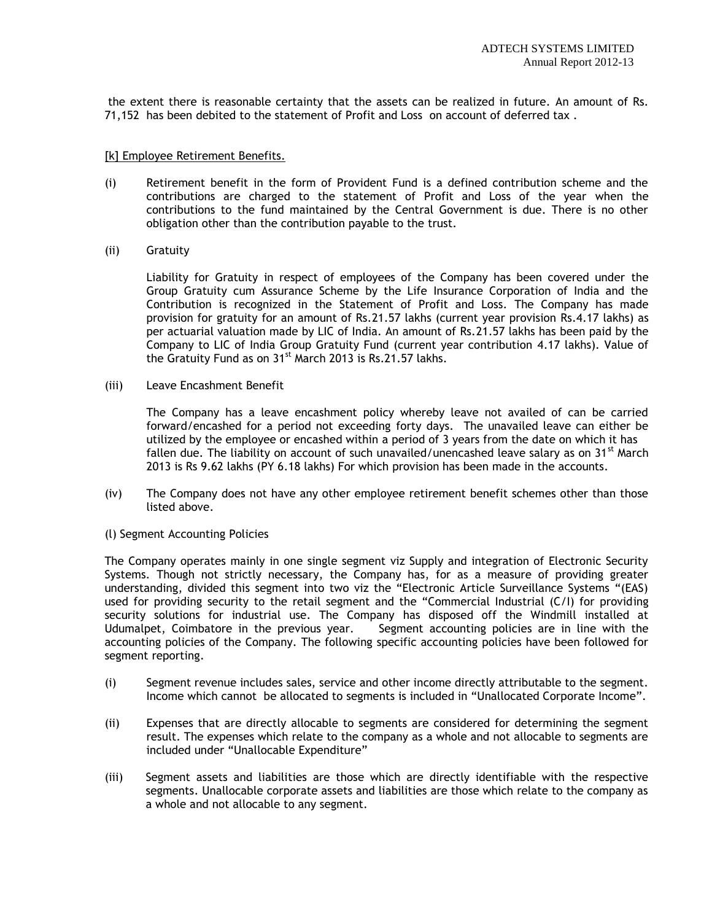the extent there is reasonable certainty that the assets can be realized in future. An amount of Rs. 71,152 has been debited to the statement of Profit and Loss on account of deferred tax .

### [k] Employee Retirement Benefits.

- (i) Retirement benefit in the form of Provident Fund is a defined contribution scheme and the contributions are charged to the statement of Profit and Loss of the year when the contributions to the fund maintained by the Central Government is due. There is no other obligation other than the contribution payable to the trust.
- (ii) Gratuity

Liability for Gratuity in respect of employees of the Company has been covered under the Group Gratuity cum Assurance Scheme by the Life Insurance Corporation of India and the Contribution is recognized in the Statement of Profit and Loss. The Company has made provision for gratuity for an amount of Rs.21.57 lakhs (current year provision Rs.4.17 lakhs) as per actuarial valuation made by LIC of India. An amount of Rs.21.57 lakhs has been paid by the Company to LIC of India Group Gratuity Fund (current year contribution 4.17 lakhs). Value of the Gratuity Fund as on 31<sup>st</sup> March 2013 is Rs.21.57 lakhs.

(iii) Leave Encashment Benefit

The Company has a leave encashment policy whereby leave not availed of can be carried forward/encashed for a period not exceeding forty days. The unavailed leave can either be utilized by the employee or encashed within a period of 3 years from the date on which it has fallen due. The liability on account of such unavailed/unencashed leave salary as on 31<sup>st</sup> March 2013 is Rs 9.62 lakhs (PY 6.18 lakhs) For which provision has been made in the accounts.

- (iv) The Company does not have any other employee retirement benefit schemes other than those listed above.
- (l) Segment Accounting Policies

The Company operates mainly in one single segment viz Supply and integration of Electronic Security Systems. Though not strictly necessary, the Company has, for as a measure of providing greater understanding, divided this segment into two viz the "Electronic Article Surveillance Systems "(EAS) used for providing security to the retail segment and the "Commercial Industrial (C/I) for providing security solutions for industrial use. The Company has disposed off the Windmill installed at Udumalpet, Coimbatore in the previous year. Segment accounting policies are in line with the accounting policies of the Company. The following specific accounting policies have been followed for segment reporting.

- (i) Segment revenue includes sales, service and other income directly attributable to the segment. Income which cannot be allocated to segments is included in "Unallocated Corporate Income".
- (ii) Expenses that are directly allocable to segments are considered for determining the segment result. The expenses which relate to the company as a whole and not allocable to segments are included under "Unallocable Expenditure"
- (iii) Segment assets and liabilities are those which are directly identifiable with the respective segments. Unallocable corporate assets and liabilities are those which relate to the company as a whole and not allocable to any segment.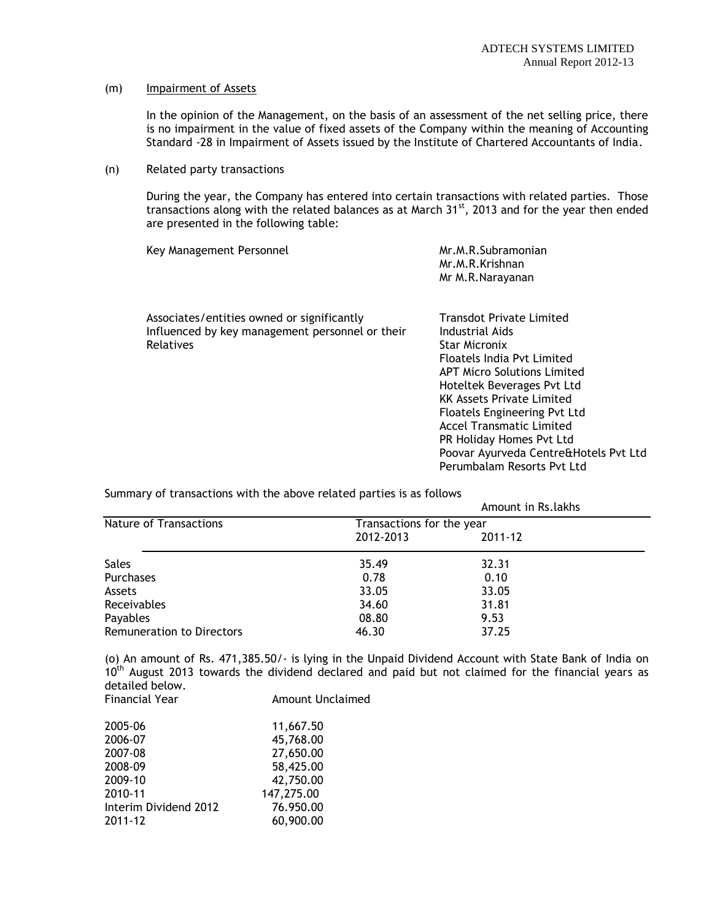### (m) Impairment of Assets

In the opinion of the Management, on the basis of an assessment of the net selling price, there is no impairment in the value of fixed assets of the Company within the meaning of Accounting Standard -28 in Impairment of Assets issued by the Institute of Chartered Accountants of India.

### (n) Related party transactions

During the year, the Company has entered into certain transactions with related parties. Those transactions along with the related balances as at March 31st, 2013 and for the year then ended are presented in the following table:

| Key Management Personnel                                                                                   | Mr.M.R.Subramonian<br>Mr.M.R.Krishnan<br>Mr M.R.Narayanan                                                                                                                                                                                                                                                                                                                       |
|------------------------------------------------------------------------------------------------------------|---------------------------------------------------------------------------------------------------------------------------------------------------------------------------------------------------------------------------------------------------------------------------------------------------------------------------------------------------------------------------------|
| Associates/entities owned or significantly<br>Influenced by key management personnel or their<br>Relatives | Transdot Private Limited<br>Industrial Aids<br><b>Star Micronix</b><br>Floatels India Pyt Limited<br>APT Micro Solutions Limited<br>Hoteltek Beverages Pvt Ltd<br><b>KK Assets Private Limited</b><br><b>Floatels Engineering Pvt Ltd</b><br><b>Accel Transmatic Limited</b><br>PR Holiday Homes Pvt Ltd<br>Poovar Ayurveda Centre&Hotels Pvt Ltd<br>Perumbalam Resorts Pyt Ltd |
|                                                                                                            |                                                                                                                                                                                                                                                                                                                                                                                 |

Summary of transactions with the above related parties is as follows

|                           | Amount in Rs.lakhs |  |
|---------------------------|--------------------|--|
| Transactions for the year |                    |  |
| 2012-2013                 | 2011-12            |  |
| 35.49                     | 32.31              |  |
| 0.78                      | 0.10               |  |
| 33.05                     | 33.05              |  |
| 34.60                     | 31.81              |  |
| 08.80                     | 9.53               |  |
| 46.30                     | 37.25              |  |
|                           |                    |  |

(o) An amount of Rs. 471,385.50/- is lying in the Unpaid Dividend Account with State Bank of India on 10<sup>th</sup> August 2013 towards the dividend declared and paid but not claimed for the financial years as detailed below.<br>Financial Year Amount Unclaimed

| 11,667.50  |
|------------|
| 45,768.00  |
| 27,650.00  |
| 58,425.00  |
| 42,750.00  |
| 147,275.00 |
| 76.950.00  |
| 60,900.00  |
|            |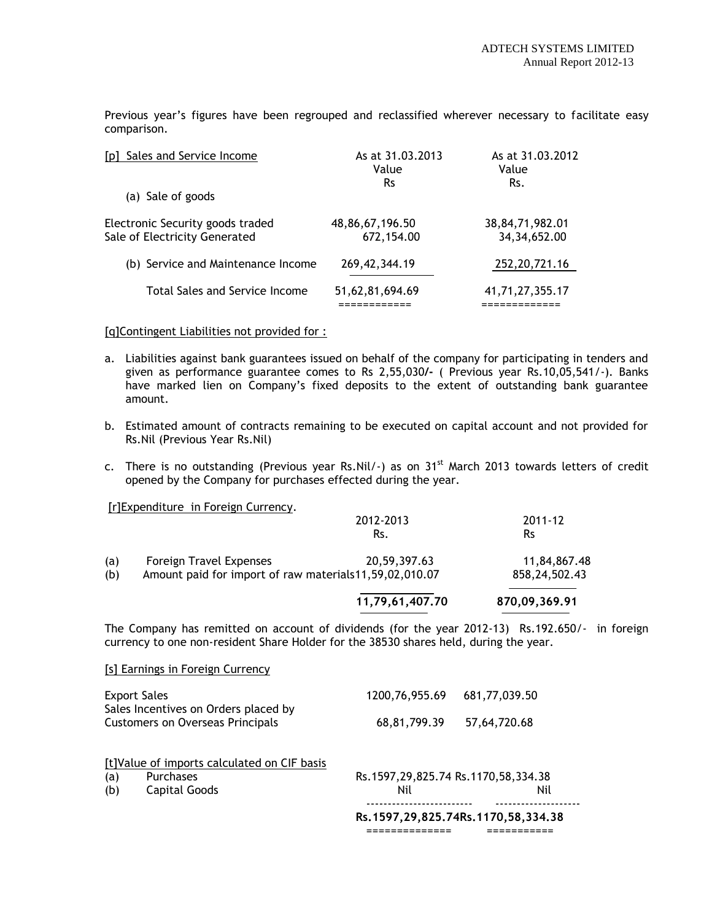Previous year's figures have been regrouped and reclassified wherever necessary to facilitate easy comparison.

| [p] Sales and Service Income                                      | As at 31.03.2013<br>Value     | As at 31.03.2012<br>Value         |  |
|-------------------------------------------------------------------|-------------------------------|-----------------------------------|--|
| (a) Sale of goods                                                 | Rs                            | Rs.                               |  |
| Electronic Security goods traded<br>Sale of Electricity Generated | 48,86,67,196.50<br>672,154.00 | 38,84,71,982.01<br>34, 34, 652.00 |  |
| (b) Service and Maintenance Income                                | 269, 42, 344. 19              | 252, 20, 721. 16                  |  |
| Total Sales and Service Income                                    | 51,62,81,694.69               | 41,71,27,355.17                   |  |

[q]Contingent Liabilities not provided for :

- a. Liabilities against bank guarantees issued on behalf of the company for participating in tenders and given as performance guarantee comes to Rs 2,55,030**/-** ( Previous year Rs.10,05,541/-). Banks have marked lien on Company's fixed deposits to the extent of outstanding bank guarantee amount.
- b. Estimated amount of contracts remaining to be executed on capital account and not provided for Rs.Nil (Previous Year Rs.Nil)
- c. There is no outstanding (Previous year Rs.Nil/-) as on 31<sup>st</sup> March 2013 towards letters of credit opened by the Company for purchases effected during the year.

[r]Expenditure in Foreign Currency.

|            |                                                                                   | 2012-2013<br>Rs. | 2011-12<br><b>Rs</b>          |
|------------|-----------------------------------------------------------------------------------|------------------|-------------------------------|
| (a)<br>(b) | Foreign Travel Expenses<br>Amount paid for import of raw materials11,59,02,010.07 | 20,59,397.63     | 11,84,867.48<br>858,24,502.43 |
|            |                                                                                   | 11,79,61,407.70  | 870,09,369.91                 |

The Company has remitted on account of dividends (for the year 2012-13) Rs.192.650/- in foreign currency to one non-resident Share Holder for the 38530 shares held, during the year.

| Nil          |                                     |
|--------------|-------------------------------------|
|              | Nil                                 |
|              | Rs.1597,29,825.74 Rs.1170,58,334.38 |
|              |                                     |
| 68,81,799.39 | 57,64,720.68                        |
|              | 681,77,039.50                       |
|              | 1200,76,955.69                      |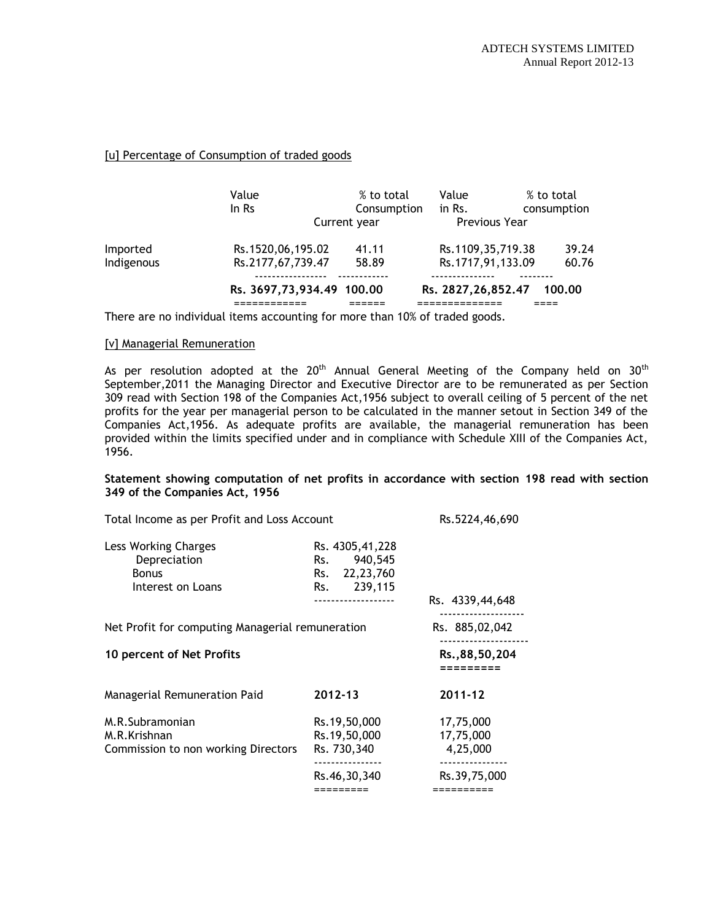[u] Percentage of Consumption of traded goods

|            | Value<br>In Rs            | % to total<br>Consumption | Value<br>in Rs.      | % to total<br>consumption |
|------------|---------------------------|---------------------------|----------------------|---------------------------|
|            |                           | Current year              | Previous Year        |                           |
| Imported   | Rs.1520,06,195.02         | 41.11                     | Rs.1109,35,719.38    | 39.24                     |
| Indigenous | Rs.2177,67,739.47         | 58.89                     | Rs.1717,91,133.09    | 60.76                     |
|            | Rs. 3697,73,934.49 100.00 |                           | Rs. 2827, 26, 852.47 | 100.00                    |
|            |                           |                           |                      |                           |

There are no individual items accounting for more than 10% of traded goods.

### [v] Managerial Remuneration

As per resolution adopted at the  $20<sup>th</sup>$  Annual General Meeting of the Company held on  $30<sup>th</sup>$ September,2011 the Managing Director and Executive Director are to be remunerated as per Section 309 read with Section 198 of the Companies Act,1956 subject to overall ceiling of 5 percent of the net profits for the year per managerial person to be calculated in the manner setout in Section 349 of the Companies Act,1956. As adequate profits are available, the managerial remuneration has been provided within the limits specified under and in compliance with Schedule XIII of the Companies Act, 1956.

## **Statement showing computation of net profits in accordance with section 198 read with section 349 of the Companies Act, 1956**

| Total Income as per Profit and Loss Account                               |                                                                   | Rs.5224,46,690                                     |  |
|---------------------------------------------------------------------------|-------------------------------------------------------------------|----------------------------------------------------|--|
| Less Working Charges<br>Depreciation<br><b>Bonus</b><br>Interest on Loans | Rs. 4305,41,228<br>940,545<br>Rs.<br>Rs. 22,23,760<br>Rs. 239,115 | Rs. 4339,44,648                                    |  |
| Net Profit for computing Managerial remuneration                          |                                                                   | Rs. 885,02,042                                     |  |
| 10 percent of Net Profits                                                 |                                                                   | Rs., 88, 50, 204                                   |  |
| Managerial Remuneration Paid                                              | $2012 - 13$                                                       | 2011-12                                            |  |
| M.R.Subramonian<br>M.R.Krishnan<br>Commission to non working Directors    | Rs.19,50,000<br>Rs.19,50,000<br>Rs. 730,340<br>Rs.46,30,340       | 17,75,000<br>17,75,000<br>4,25,000<br>Rs.39,75,000 |  |
|                                                                           | =========                                                         | ==========                                         |  |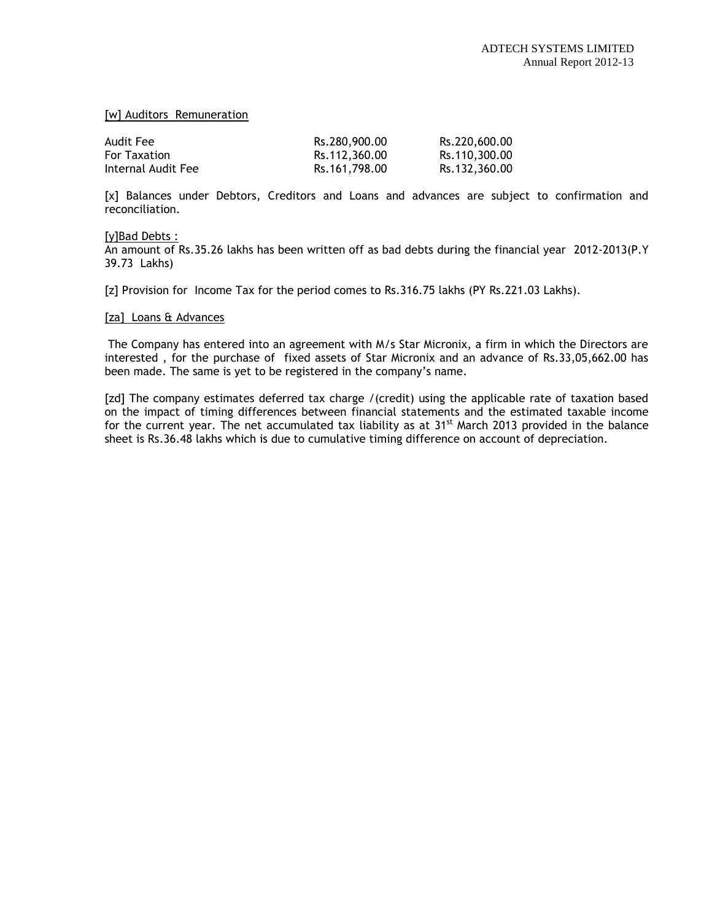[w] Auditors Remuneration

| Audit Fee           | Rs.280.900.00 | Rs.220.600.00 |
|---------------------|---------------|---------------|
| <b>For Taxation</b> | Rs.112.360.00 | Rs.110.300.00 |
| Internal Audit Fee  | Rs.161,798.00 | Rs.132,360.00 |

[x] Balances under Debtors, Creditors and Loans and advances are subject to confirmation and reconciliation.

### [y]Bad Debts :

An amount of Rs.35.26 lakhs has been written off as bad debts during the financial year 2012-2013(P.Y 39.73 Lakhs)

[z] Provision for Income Tax for the period comes to Rs.316.75 lakhs (PY Rs.221.03 Lakhs).

### [za] Loans & Advances

The Company has entered into an agreement with M/s Star Micronix, a firm in which the Directors are interested , for the purchase of fixed assets of Star Micronix and an advance of Rs.33,05,662.00 has been made. The same is yet to be registered in the company's name.

[zd] The company estimates deferred tax charge /(credit) using the applicable rate of taxation based on the impact of timing differences between financial statements and the estimated taxable income for the current year. The net accumulated tax liability as at  $31<sup>st</sup>$  March 2013 provided in the balance sheet is Rs.36.48 lakhs which is due to cumulative timing difference on account of depreciation.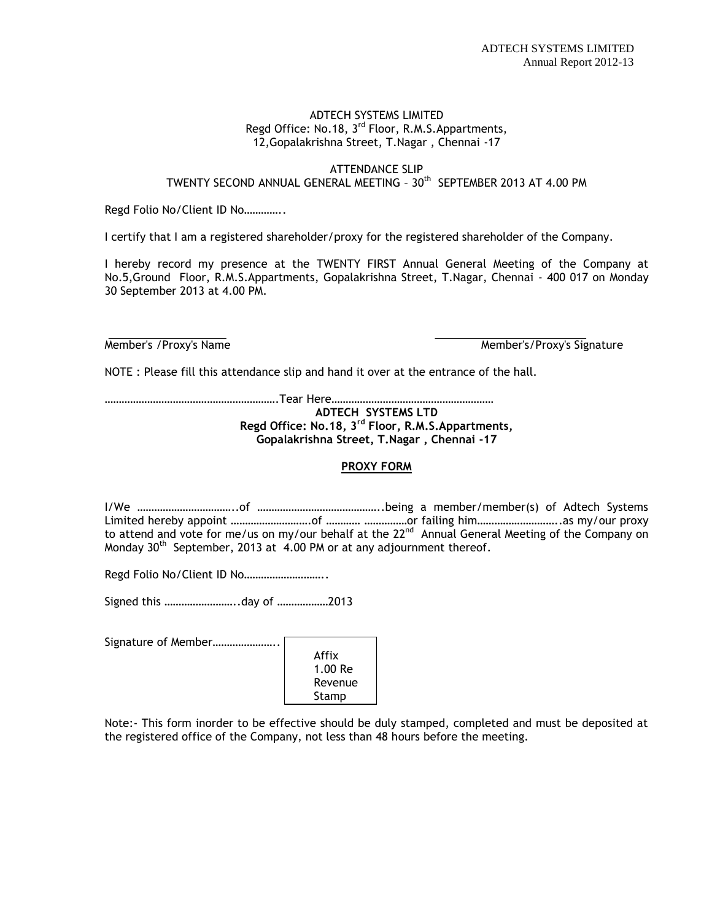### ADTECH SYSTEMS LIMITED Regd Office: No.18, 3rd Floor, R.M.S.Appartments, 12,Gopalakrishna Street, T.Nagar , Chennai -17

ATTENDANCE SLIP

## TWENTY SECOND ANNUAL GENERAL MEETING – 30th SEPTEMBER 2013 AT 4.00 PM

Regd Folio No/Client ID No…………..

I certify that I am a registered shareholder/proxy for the registered shareholder of the Company.

I hereby record my presence at the TWENTY FIRST Annual General Meeting of the Company at No.5,Ground Floor, R.M.S.Appartments, Gopalakrishna Street, T.Nagar, Chennai - 400 017 on Monday 30 September 2013 at 4.00 PM.

Member's /Proxy's Name Member's/Proxy's Signature

NOTE : Please fill this attendance slip and hand it over at the entrance of the hall.

…………………………………………………….Tear Here…………………………………………………

**ADTECH SYSTEMS LTD Regd Office: No.18, 3rd Floor, R.M.S.Appartments, Gopalakrishna Street, T.Nagar , Chennai -17**

## **PROXY FORM**

I/We ……………………………..of ……………………………………..being a member/member(s) of Adtech Systems Limited hereby appoint ……………………….of ………… ……………or failing him………………………..as my/our proxy to attend and vote for me/us on my/our behalf at the 22<sup>nd</sup> Annual General Meeting of the Company on Monday  $30<sup>th</sup>$  September, 2013 at 4.00 PM or at any adjournment thereof.

Regd Folio No/Client ID No………………………..

Signed this ……………………..day of ………………2013

Signature of Member…………………..



Note:- This form inorder to be effective should be duly stamped, completed and must be deposited at the registered office of the Company, not less than 48 hours before the meeting.